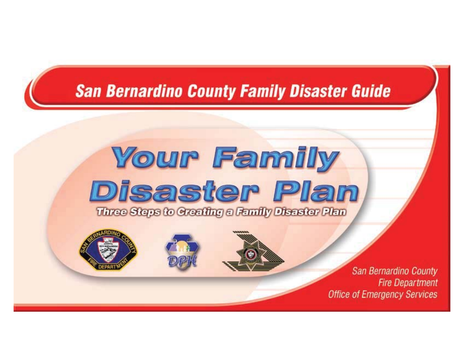#### **San Bernardino County Family Disaster Guide**

#### **Your Family Disaster Plan** Three Steps to Greating a Family Disaster Plan

San Bernardino County **Fire Department Office of Emergency Services**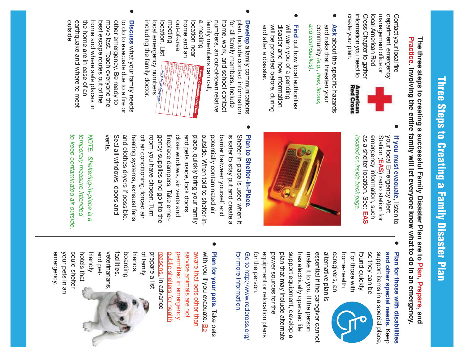# **Three Steps to Creating** Three Steps to Creating a Family Disaster Plan a Family Disaster Plan

Practice. Involving the entire family will let everyone know what to do in an emergency. **Practice. Involving the entire family will let everyone know what to do in an emergency. The three steps to creating a successful Family Disaster Plan are to Plan, Prepare, and** The three steps to creating a successful Family Disaster Plan are to Plan, Prepare, and

create your plan. information you need to information you need to Cross Chapter to gather Cross Chapter to gather local American Red **Dool Arnerican Red** management office or management office or department, emergency department, emergency Contact your local fire Contact your local fire

create your plan.

Red Cross



<sup>O</sup>

- *and earthquakes)*. community and risks that threaten your O and risks threaten your Ask about the specific hazards and earthquakes). community (e.g., fires, floods, **Ask** about the specific hazards *(e.g., fires, floods,*
- O and after a disaster. will be provided before, during disaster and how information will warn you of a pending will be provided before, during will warn you of a pending and after a disaster. disaster and how information **Find** out how local authorities out how local authorities
- family members can call, numbers, an out-of-town relative home, work, and school contact for all family members. Include plan. Include contact information <sup>O</sup> family members can call numbers, an out-of-town relative Develop a family communications **Develop** a family communications home, work, and school contact for all family menhoers. Include plan. Include contact information

 $\bullet$ 

 including the family doctor. local emergency numbers location. List meeting out-of-area home and an location near a meeting out-of-area meeting a meeting including the family doctor. local emergency numbers location. List home and an location near Neighborhood Meeting Place: Te Out-of-State Contact Name: Telephone: lephone: Contact Name: Telephone: Dial 9.1-1 for Emergen Family Communication Plan *Dial 9-1-1 for Emergencies!* Family Com

 outside. earthquake and where to meet the home are in case of an home and where safe places in best escape routes out of the move fast. Teach everyone the other emergency. Be ready to to do to evacuate due to a fire or the home are in case of an other emergency. Be ready to outside earthquake and where to meet move fast. Teach everyone the to do to evacuate due to a fire or **Discuss** what your family needs home and where safe places in best escape routes out of the Discuss what your family needs

O

 as a shelter location. See: emergency information, such Station ( your local Emergency Alert Station (EAS) radio station for your local Emergency Alert If you must evacuate, listen to located on inside back page. *located on inside back page.* as a shelter location. See: EAS emergency information, such **If you must evacuate,** listen to **EAS**) radio station for



 Seal all windows, doors and and clothes dryers if possible. heating systems, exhaust fans off air conditioning, forced air room you have chosen. Turn gency supplies and go into the fireplace dampers. Take emer close windows, air vents and and pets inside, lock doors, place, quickly bring your family outside. When told to shelter-in potentially contaminated air barrier between yourself and is safer to stay put and create a Shelter-in-place is used when it and clothes dryers if possible. heating systems, exhaust fans gency supplies and go into the fireplace dampers. Take emeroutside. When told to shelter-inis safer to stay put and create a vents. Seal all windows, doors and off air conditioning, forced air room you have chosen. Turn close windows, air vents and and pets inside, lock doors, place, quickly bring your family potentially contaminated air barrier between yourself and Shelter-in-place is used when it **Plan to Shelter-in-Place Shelter-in-Place.**

 *to keep contaminated air outside. temporary measure intended* NOTE: Sheltering-in-place is to keep contaminated air outside. temporary measure intended *NOTE: Sheltering-in-place is a*  $\boldsymbol{\omega}$ 

 emergency. your pets in an could shelter

emergency. your pets in an could shelter  so they can be support items in a special place,  **and other special needs.**<sup>O</sup> so they can be support items in a special place, and other special needs. Keep Plan for those with disabilities **Plan for those with disabilities** 

 alternative plan is caregivers, an home-health For those with found quickly. alternative plan is caregivers, an home-health found quickly. For those with



 for more information. for the person. equipment or relocation plans power sources for the plan that may include alternate support equipment, develop a has electrically operated life make it to you. If the person essential if the caregiver cannot for more information for the person. equipment or relocation plans power sources for the plan that may include alternate support equipment, develop a has electrically operated life make it to you. If the person essential if the caregiver cannot Go to http://www.redcross.org/ Go to http://www.redcross.org/

<sup>O</sup> hotels that and pet veterinarians, facilities, boarding of family, prepare a list reasons. public shelters for health permitted in emergency service animals are not aware that pets other than with you if you assume. Be with you if you evacuate. Be Plan for your pets. Take pets hotels that friendly and petveterinarians facilities, boarding friends, of family, prepare a list reasons. In advance public shelters for health permitted in emergency service animals are not aware that pets other than **Plan for your pets.** In advance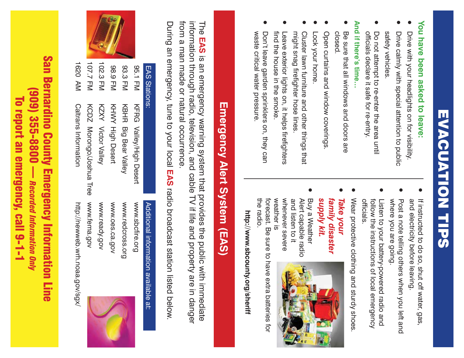# EVACUATION TIPS EVACUATION TIPS

## You have been asked to leave: **You have been asked to leave:**

- O Drive with your headlights on for visibility. Drive with your headlights on for visibility.
- safety vehicles. ● Drive calmly with special attention to public safety vehicles Drive calmly with special attention to public
- officials declare it safe for re-entry. O Do not atternpt to re-enter the area until Do not attempt to re-enter the area until officials declare it safe for re-entry.

## **And if there's time…** And if there's time.

- O Be sure that all windows and doors are Be sure that all windows and doors are closed
- O Open curtains and window coverings. Open curtains and window coverings
- O Lock your home. Lock your home
- might snag firefighter hose lines. ● Cluster lawn furniture and other things that might snag firefighter hose lines Cluster lawn furniture and other things that
- find the house in the smoke. O Leave exterior lights on, it helps firefighters find the house in the smoke Leave exterior lights on, it helps firefighters
- O waste critical water pressure. Don't leave garden sprinklers on, they can waste critical water pressure Don't leave garden sprinklers on, they can

- O and electricity before leaving. If instructed to do so, shut off water, gas, and electricity before leaving. If instructed to do so, shut off water, gas,
- O where you are going. Post a note telling others when you left and where you are going. Post a note telling others when you left and
- officials. follow the instructions of local emergency O Listen to your battery-powered radio and officials. follow the instructions of local emergency Listen to your battery-powered radio and
- Wear protective clothing and sturdy shoes. Wear protective clothing and sturdy shoes

O

- *supply kit. family disaster*  O supply kit. family disaster *Take your*
- weather is whenever severe and listen to it Alert capable radio Buy a Weather weather is whenever severe Buy a Weather and listen to it Alert capable radio



O

 the radio. forecast. Be sure to have extra batteries for the radio. forecast. Be sure to have extra batteries for

http://www.sbcounty.org/sheriff **http://www.sbcounty.org/sheriff**

# **Emergency Alert System (EAS)** Emergency Alert System (EAS)

from a man made or natural occurrence. information through radio, television, and cable TV if life and property are in danger from a man made or natural occurrence. information through radio, television, and cable TV if life and property are in danger The EAS is an emergency warning system that provides the public with immediate The **EAS** is an emergency warning system that provides the public with immediate

During an emergency, tune to your local EAS radio broadcast station listed below. During an emergency, tune to your local **EAS** radio broadcast station listed below.



| EAS Stations: |                                | Additional information available at: |
|---------------|--------------------------------|--------------------------------------|
| 95.1 FM       | <b>KFRG Valley/High Desert</b> | www.sbcfire.org                      |
| 93.3 FM       | KBHR Big Bear Valley           | www.redcross.org                     |
| 88.9 FM       | <b>XHXVY High Desert</b>       | WWW.Oes.ca.gov                       |
| 102.3 FM      | KZXY Victor Valley             | www.ready.gov                        |
| 107.7 FM      | KCDZ Norongo/Joshua Tee        | www.fema.gov                         |
| 1620 AM       | Caltrans Information           | http://newweb.wrh.noaa.gov/sgy/      |

San Bernardino County Emergency Information Line **San Bernardino County Emergency Information Line** (909) 355-8800 — *Recorded Information Only* (909) 355-8800 — Recorded Information Only To report an emergency, call 9-1-1 To report an emergency, call 9-1-1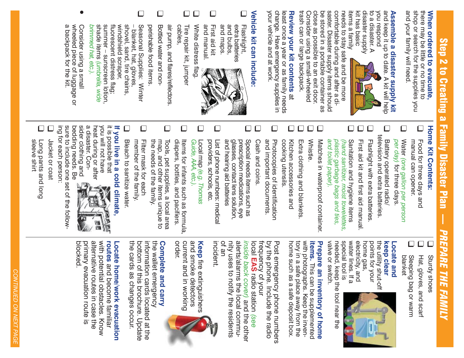## Step 2 to Creating a Family Disaster Plan — **Step 2 to Creating** a Family Disaster Plan *PREPARE THE FAMILY* PREPARE THE FAMILY

## When ordered to evacuate, **When ordered to evacuate,**

and your family will need and your family will need. shop or search for the supplies you shop or search for the supplies you there may be little or no time to there may be little or no time to

#### and keep it up to date. A kit will help and keep it up to date. A kit will help Assemble a disaster supply kit **Assemble a disaster supply kit**

disaster supply disaster supply to a disaster. A to a disaster. A you respond you respona



kit has basic

kit has basic

trash can or large backpack. trash can or large backpack. Consider using a small-wheeled Consider using a small-wheeled close as possible to an exit door. close as possible to an exit door. be stored in a portable container as be stored in a portable container as saster. Disaster supply items should saster. Disaster supply items should comfortable during and after a dicomfortable during and after a di needs to stay safe and be more needs to stay safe and be more

## **Review your kit contents** Review your kit contents at

your vehicle and at work. your vehicle and at work. change. Have emergency supplies in change. Have emergency supplies in least once a year or as family needs least once a year or as family needs

## **Vehicle kit can include:** Vehicle kit can include:

- $\Box$  $\Box$  wheeled piece of luggage or O  *brimmed hat, etc.).* shade items summer – sunscreen lotion, fluorescent distress flag; windshield scraper, shovel, sand, tire chains, – blanket, hat, gloves, perishable food items.  $\Box$  air pump, and flares/reflectors. cables, T Tire repair kit, jumper  $\Box$  and manual.  $\Box$  and maps. and bulbs, extra batteries  $\Box$  Consider using a small Seasonal Supplies: Winter Bottled water and non- White distress flag. First aid kit Flashlight, air pump, and flares/reflectors Flashlight, wheeled piece of luggage or Consider using a small brimmed hat, etc.) shade items (umbrella, wide summer - sunscreen lotion. fluorescent distress flag; windshield scraper, shovel, sand, tire chains - blanket, hat, gloves, Seasonal Supplies: Winter perishaple tood items cables Tire repair kit, jumper White distress flag and manual. and maps. and bulbs, extra batteries Bottled water and non-First aid kit *(umbrella, wide*
- a backpack for the kit. a backpack for the kit.

## **Home Kit Contents: Home Kit Contents:**

 manual can opener. Food for three days and manual can opener. Food for three days and

 $\Box$ 

 *per day)* for three days. Water *(one gallon per person*  per day) for three days. Water (one gallon per person

 $\square$ 

- $\square$  television and extra batteries. T Battery operated radio/ television and extra batteries. Battery operated radio/
- Flashlight with extra batteries. Flashlight with extra batteries

 $\Box$ 

 $\Box$ 

- $\Box$  Trist aid kit and first aid manual. Tirst aid Kit and first aid Handal.
- *and toilet paper). plastic garbage bags and ties,*  T Sanitation and hygiene items and tollet paper). plastic garbage bags and ties, Sanitation and hygiene items (hand sanitizer, moist towelettes, *(hand sanitizer, moist towelettes,*
- Matches in waterproof container. Matches in waterproof container.

 $\Box$ 

- $\Box$  $\Box$  That condition and plankets. **T** Whistle. Extra clothing and blankets Whistle
- $\Box$  $\Box$ T Kitchen accessories and cooking utensils. cooking utensils. Kitchen accessories and
- and important documents.  $\Box$  Photocopies of identification and important documents Photocopies of identification
- Cash and coins. Cash and coins.

 $\Box$ 

- $\Box$  and hearing aid batteries glasses, contact lens solution, T Special needs items such as prescription medications, eye and hearing aid batteries glasses, contact lens solution, prescription medications, eye Special needs items such as
- providers, schools, etc.  $\square$  List of phone numbers: medical providers, schools, etc. List of phone numbers: medical
- *Guide, AAA, etc.).* Local map *(e.g. Thomas*  Guide, AAA, etc.). Local map (e.g. Thomas

 $\Box$ 

- diapers, bottles, and pacifiers.  $\Box$  Items for infants such as formula, diapers, bottles, and pacifiers. ltems for infants such as formula,
- $\Box$  map, and other items unique to the needs of the family. Tools, pet supplies, a local area the needs of the family. map, and other items unique to Tools, pet supplies, a local area
- $\Box$  member of the family. Filter mask for each member of the family. Filter mask for each
- $\Box$  Bleach to sanitize water. Bleach to sanitize water.

## **If you live in a cold climate,**If you live in a cold climate,



医皮膜膜 强烈

heat during or after<br>a disaster. Consider clothing and sider clothing and a disaster. Con heat during or after

ing tor each person: ing for each person: sure to include one set of the tollowsure to include one set of the follow bedding needs. Be bedding needs. Be

- $\Box$  Jacket or coat Jacket or coat
- sleeve shirt T Long pants and long sleeve shirt Long pants and long

 $\Box$ 

- $\Box$ T Sturdy shoes **Sturdy shoes**
- T Hat, gloves, and scarf Hat, gloves, and scarf
- blanket I Sleeping bag or warm Sleeping bag or warm blanket

#### **keep clear Locate and Locate and**

water lines. If a electricity, and water lines. If a electricity, and points for your the utility shut-off the utility shut-off points for your<br>home gas,



valve or switch. needed, keep the tool near the special tool is valve or switch. needed, keep the tool near the special tool is

#### **Prepare an inventory of home an inventory of home items.** This can be supplemented This can be supplemented

with photographs. Keep the invenhome such as a safe deposit box. home such as a safe deposit box. tory in a safe place away from the tory in a safe place away from the with photographs. Keep the inven-

alerts/alarms the local community uses to notify the residents nity uses to notify the residents alerts/alarms the local commuinside back cover) and the other *inside back cover)*local EAS radio station trequency of your frequency of your by the phone. Include the radio by the phone. Include the radio Post emergency phone numbers Post emergency phone numbers **EAS** radio station *(see*  and the other See

incident. of an

current and in working<br>order. current and in working and smoke detectors and smoke detectors **Keep** fire extinguishers fire extinguishers



#### the wallet emergency Complete and carry **Complete and carry**

the wallet emergency the cards as changes occur. the cards as changes occur. bottom of this brochure. Update bottom of this brochure. Update information cards located at the information cards located at the

## **Locate home/work evacuation**  Locate home/work evacuation

with potential obstacles. Know blocked. primary evacuation route is primary evacuation route is alternative routes in case the alternative routes in case the with potential obstacles. Know **routes** and become familiar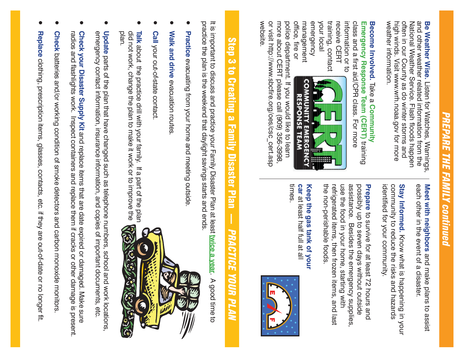# *PREPARE THE FAMILY continued* **PREPARE THE FAMILY continued**

weather information. high winds. Visit www.wrh.noaa.gov for more often in our County as do winter storms and National Weather Service. Flash floods happen and other weather related information from the Be Weather Wise. Listen for Watches, Warnings weather information. high winds. Visit www.wrh.noaa.gov for more often in our County as do winter storms and National Weather Service. Flash floods happen and other weather related information from the **Be Weather Wise.**Listen for Watches, Warnings,

## Become Involved. Take a Community **Become Involved.** Take a **Community**

information or to class and a first aid/CPR class. For more Emergency Response Team (CERT) training information or to class and a first aid/CPR class. For more **Emergency Response Team (CERT)**

office, fire or management emergency your local training, contact receive CERT office, fire or management emergency training, contact receive CERT



or visit http://www.sbcfire.org/oes/csc\_cert.asp<br>website. more about CERT please call (909) 356-3998, police department. If you would like to learn or visit http://www.sbcfire.org/oes/csc\_cert.asp more about CERT please call (909) 356-3998, police department. If you would like to learn

> each other in the event of a disaster. Meet with neighbors and make plans to assist each other in the event of a disaster. **Meet with neighbors** and make plans to assist

Stay Informed. Know what is happening in your identified for your community. identified for your community. community to reduce the risks and hazards community to reduce the risks and hazards **Stay Informed.** Know what is happening in your

the non-perishable foods. use the food in your home, starting with assistance. Besides the emergency supplies, possibly up to seven days without outside **Prepare** to survive for at least 72 hours and the non-perishable foods. refrigerated items, then frozen items, and last refrigerated items, then frozen items, and last use the food in your home, starting with assistance. Besides the emergency supplies, possibly up to seven days without outside to survive for at least 72 hours and

#### times. Keep the gas tank of your car at least half full at all **Keep the gas tank of your** at least half full at all



# Step 3 to Creating a Family Disaster Plan Step 3 to Creating a Family Disaster Plan — **PRACTICE YOUR PLAN** *PRACTICE YOUR PLAN*

practice the plan is the weekend that daylight savings starts and ends. It is important to discuss and practice your Family Disaster Plan at least twice a year. A good time to practice the plan is the weekend that daylight savings starts and ends. It is important to discuss and practice your Family Disaster Plan at least **twice a year**. A good time to

- O Practice evacuating from your home and meeting outside **Practice** evacuating from your home and meeting outside.
- O Walk and drive evacuation routes **Walk and drive** evacuation routes.
- $\bullet$ Call your out-of-state contact **Call** your out-of-state contact.
- $\bullet$  did not work, change the plan to make it work or to improve the did not work, change the plan to make it work or to improve the<br>plan. Talk about the practice drill with your family. If a part of the plan **Talk** about the practice drill with your family. If a part of the plan



- $\bullet$  emergency contact information, insurance information, and copies of important documents, etc. **Update** parts of the plan that have changed such as telephone numbers, school and work locations, emergency contact information, insurance information, and copies of important documents, etc. **Update** parts of the plan that have changed such as telephone numbers, school and work locations,
- O radios and flashlights work. Inspect containers and replace them if cracks or other damage is present. Check your Disaster Supply Kit and replace items that are date expired or damaged. Make sure radios and flashlights work. Inspect containers and replace them if cracks or other damage is present. **Check your Disaster Supply Kit** and replace items that are date expired or damaged. Make sure
- O Check batteries and/or working condition of smoke detectors and carbon monoxide monitors **Check** batteries and/or working condition of smoke detectors and carbon monoxide monitors.
- O Replace clothing, prescription items, glasses, contacts, etc. if they are out-of-date or no longer fit **Replace** clothing, prescription items, glasses, contacts, etc. if they are out-of-date or no longer fit.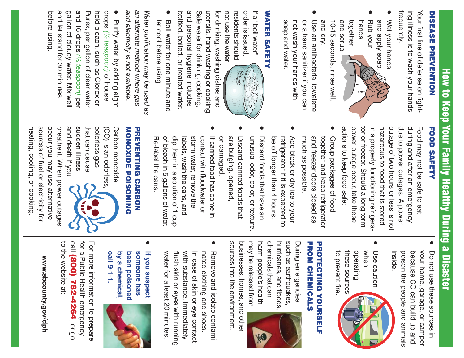# How to Keep Your Family Healthy During a Disaster How to Keep Your Family Healthy During a Disaster

## **DISEASE PREVENTION** DISEASE PREVENTION

frequently. ing illness is to wash your hands ing illness is to wash your hands Your first line of defense on fight-Your first line of defense on fight-

- and apply soap. O Wet your hands and apply soap. Wet your hands
- and scrub together O and scrub together hands Rub your

 and dry. 10-15 seconds, rinse well, and dry. 10-15 seconds, rinse well.

 soap and water. not wash your hands with or a hand sanitizer if you can O Use an antibacterial towelette soap and water. not wash your hands with or a hand sanitizer if you can Use an antibacterial towelette

### **WATER SAFETY** WATER SAFETY

order is issued, not use the water not use the water residents should residents should order is issued, If a "boil water" If a "boil water"



O

bottled, boiled, or treated water. bottled, boiled, or treated water. and personal hygiene includes and personal hygiene includes Safe water for drinking, cooking, Safe water for drinking, cooking, utensils, hand washing or cooking utensils, hand washing or cooking. for drinking, washing dishes and for drinking, washing dishes and

 let cool before using. O Boil water for one minute and let cool before using. Boil water for one minute and

and electricity is not available. an alternate method where gas *and electricity is not available. an alternate method where gas*  Water purification may be used as *Water purification may be used as* 

before using. before using. and let stand for 30 minutes and let stand for 30 minutes gallon of cloudy water. Mix well gallon of cloudy water. Mix well and 16 drops (1/2 teaspoon) per and 16 drops Purex, per gallon of clear water Purex, per gallon of clear water hold bleach, such as Clorox or hold bleach, such as Clorox or drops (7/4 teaspoon) of house O Purify water by adding eight Purify water by adding eight *(¼ teaspoon)* of house *(½ teaspoon)*

## **FOOD SAFETY** FOOD SAFETY

actions to keep food safe: power outage occur, take these tor or freezer. Should a long-term in a properly functioning refrigerahazardous to food that is stored outage of two hours or less is not due to power outages. A power during and after an emergency actions to keep food safe: power outage occur, take these tor or freezer. Should a long-term in a properly functioning refrigera hazardous to food that is stored outage of two hours or less is not due to power outages. A power during and after an emergency Food may not be safe to eat Food may not be safe to eat

 $\bullet$ 

- O much as possible. and freezer doors closed as together and keep refrigerator Group packages of food much as possible. together and keep refrigerator Group packages of food and freezer doors closed as
- $\bullet$  be off longer than 4 hours. refrigerator if it is expected to Add block or dry ice to your refrigerator if it is expected to Add block or dry ice to your be off longer than 4 hours.
- O unusual odor, color, or texture. Discard foods that have an unusual odor, color, or texture. Discard foods that have an
- or damaged. are bulging, opened, Discard canned foods that or damaged. are bulging, opened Discard canned foods that
- $\bullet$  Re-label the cans. of bleach in 5 gallons of water. dip them in a solution of 1 cup labels, wash the cans, and storm water, remove the contact with floodwater or If canned food has come in dip them in a solution of 1 cup labels, wash the cans, and contact with floodwater or If canned food has come in of bleach in 5 gallons of water. storm water, remove the Re-label the cans

#### MONOXIDE POISONING **PREVENTING CARBON** MONOXIDE POISONING PREVENTING CARBON

and death if you sudden illness that can cause colorless gas Carbon monoxide and death if you sudden illness that can cause colorless gas (CO) is an odorless (CO) is an odorless, Carbon monoxide

heating, cooling, or cooking sources of fuel or electricity for occur you may use alternative breathe it. When power outages heating, cooling, or cooking. sources of fuel or electricity for occur you may use alternative breathe it. When power outages

- $\bullet$  poison the people and animals because CO can build up and your home, garage, or camper ● Do not use these sources in Do not use these sources in poison the people and animals because CO can build up and inside. your home, garage, or camper
- to prevent fire. these sources operating Use caution when operating Use caution to prevent fire these sources

#### FROM CHEMICALS FROM CHEMICALS **PROTECTING YOURSELF** PROTECTING YOURSELF

may be released from harm people's health chemicals that can hurricanes, and floods such as earthquakes During emergencies may be released from harm people's health chemicals that can hurricanes, and floods, such as earthquakes, During emergencies



sources into the environment. businesses, homes, and other sources into the environment. businesses, homes, and other

- $\bullet$ water for a least 20 minutes. flush skin or eyes with running with substance, immediately In case of skin or eye contact nated clothing and shoes. Remove and isolate contamiwith substance, immediately water for a least 20 minutes. flush skin or eyes with running In case of skin or eye contact nated clothing and shoes. Remove and isolate contami-
- **call 9-1-1. by a chemical, been poisoned someone has** someone has If you suspect call 9-1-1. by a chemical, been poisoned **If you suspect**

 $\bullet$ 



www.sbcounty.gov/dph **www.sbcounty.gov/dph**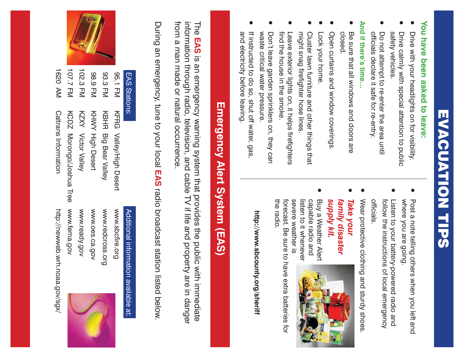# EVACUATION TIPS EVACUATION TIPS

## You have been asked to leave: **You have been asked to leave:**

- $\bullet$  Drive calmly with special attention to public O Drive with your headlights on for visibility. Drive calmly with special attention to public Drive with your headlights on for visibility.
- officials declare it safe for re-entry. O safety vehicles. Do not attempt to re-enter the area until safety vehicles officials declare it safe for re-entry. Do not attempt to re-enter the area until

## And if there's time. **And if there's time…**

- O Be sure that all windows and doors are closed. Be sure that all windows and doors are
- O Open curtains and window coverings. Open curtains and window coverings
- Lock your home. Lock your home.
- might snag firefighter hose lines. ● Cluster lawn furniture and other things that might snag firefighter hose lines Cluster lawn furniture and other things that
- find the house in the smoke. O Leave exterior lights on, it helps firefighters find the house in the smoke Leave exterior lights on, it helps firefighters
- O waste critical water pressure. Don't leave garden sprinklers on, they can waste critical water pressure. Don't leave garden sprinklers on, they can
- $\bullet$  and electricity before leaving. If instructed to do so, shut off water, gas, and electricity before leaving. If instructed to do so, shut off water, gas

- $\bullet$  where you are going. ● Post a note telling others when you left and where you are going. Post a note telling others when you left and
- officials. follow the instructions of local emergency O Listen to your battery-powered radio and officials. follow the instructions of local emergency Listen to your battery-powered radio and
- Wear protective clothing and sturdy shoes. Wear protective clothing and sturdy shoes

O

- *supply kit. family disaster*  O supply kit. family disaster *Take your*
- $\bullet$  severe weather is listen to it whenever capable radio and Buy a Weather Alert severe weather is capable radio and Buy a Weather Alert listen to it whenever



 the radio. forecast. Be sure to have extra batteries for the radio forecast. Be sure to have extra batteries for

http://www.sbcounty.org/sheriff **http://www.sbcounty.org/sheriff**

# **Emergency Alert System (EAS)** Emergency Alert System (EAS)

from a man made or natural occurrence from a man made or natural occurrence. information through radio, television, and cable TV if life and property are in danger information through radio, television, and cable TV if life and property are in danger The EAS is an emergency warning system that provides the public with immediate The **EAS** is an emergency warning system that provides the public with immediate

During an emergency, tune to your local EAS radio broadcast station listed below During an emergency, tune to your local **EAS** radio broadcast station listed below.



#### EAS Stations: EAS Stations:

Additional information available at:

Additional information available at:

#### 98.9 FM KHWY High Desert 93.3 FM KBHR Big Bear Valley 95.1 FM KFRG Valley/High Desert KHWY High Desert KBHR Big Bear Valley KFRG Valley/High Desert

www.fema.gov www.redcross.org www.ready.gov www.sbcfire.org www.fema.gov www.ready.gov www.oes.ca.gov www.oes.ca.gov www.redcross.org www.sbcfire.org



http://newweb.wrh.noaa.gov/sgx http://newweb.wrh.noaa.gov/sgx/

**Caltrans Information** 

KCDZ Morongo/Joshua Tree

KZXY

**Victor Valley**